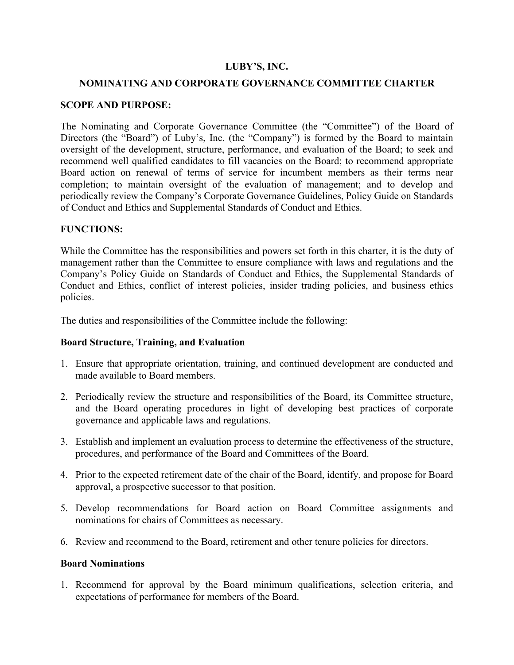### **LUBY'S, INC.**

### **NOMINATING AND CORPORATE GOVERNANCE COMMITTEE CHARTER**

### **SCOPE AND PURPOSE:**

The Nominating and Corporate Governance Committee (the "Committee") of the Board of Directors (the "Board") of Luby's, Inc. (the "Company") is formed by the Board to maintain oversight of the development, structure, performance, and evaluation of the Board; to seek and recommend well qualified candidates to fill vacancies on the Board; to recommend appropriate Board action on renewal of terms of service for incumbent members as their terms near completion; to maintain oversight of the evaluation of management; and to develop and periodically review the Company's Corporate Governance Guidelines, Policy Guide on Standards of Conduct and Ethics and Supplemental Standards of Conduct and Ethics.

#### **FUNCTIONS:**

While the Committee has the responsibilities and powers set forth in this charter, it is the duty of management rather than the Committee to ensure compliance with laws and regulations and the Company's Policy Guide on Standards of Conduct and Ethics, the Supplemental Standards of Conduct and Ethics, conflict of interest policies, insider trading policies, and business ethics policies.

The duties and responsibilities of the Committee include the following:

### **Board Structure, Training, and Evaluation**

- 1. Ensure that appropriate orientation, training, and continued development are conducted and made available to Board members.
- 2. Periodically review the structure and responsibilities of the Board, its Committee structure, and the Board operating procedures in light of developing best practices of corporate governance and applicable laws and regulations.
- 3. Establish and implement an evaluation process to determine the effectiveness of the structure, procedures, and performance of the Board and Committees of the Board.
- 4. Prior to the expected retirement date of the chair of the Board, identify, and propose for Board approval, a prospective successor to that position.
- 5. Develop recommendations for Board action on Board Committee assignments and nominations for chairs of Committees as necessary.
- 6. Review and recommend to the Board, retirement and other tenure policies for directors.

#### **Board Nominations**

1. Recommend for approval by the Board minimum qualifications, selection criteria, and expectations of performance for members of the Board.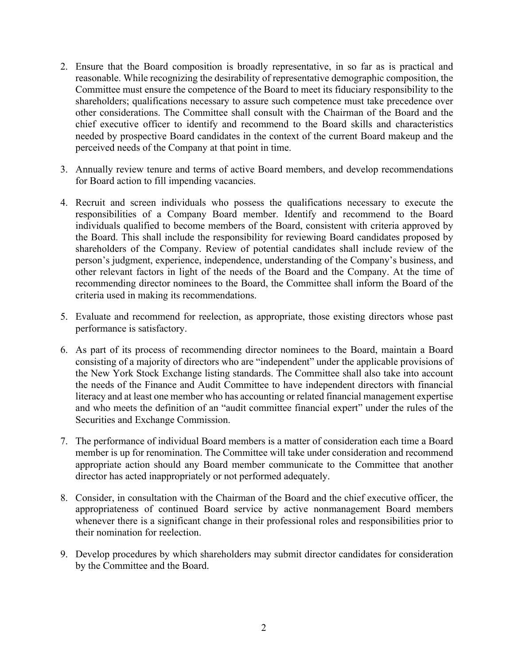- 2. Ensure that the Board composition is broadly representative, in so far as is practical and reasonable. While recognizing the desirability of representative demographic composition, the Committee must ensure the competence of the Board to meet its fiduciary responsibility to the shareholders; qualifications necessary to assure such competence must take precedence over other considerations. The Committee shall consult with the Chairman of the Board and the chief executive officer to identify and recommend to the Board skills and characteristics needed by prospective Board candidates in the context of the current Board makeup and the perceived needs of the Company at that point in time.
- 3. Annually review tenure and terms of active Board members, and develop recommendations for Board action to fill impending vacancies.
- 4. Recruit and screen individuals who possess the qualifications necessary to execute the responsibilities of a Company Board member. Identify and recommend to the Board individuals qualified to become members of the Board, consistent with criteria approved by the Board. This shall include the responsibility for reviewing Board candidates proposed by shareholders of the Company. Review of potential candidates shall include review of the person's judgment, experience, independence, understanding of the Company's business, and other relevant factors in light of the needs of the Board and the Company. At the time of recommending director nominees to the Board, the Committee shall inform the Board of the criteria used in making its recommendations.
- 5. Evaluate and recommend for reelection, as appropriate, those existing directors whose past performance is satisfactory.
- 6. As part of its process of recommending director nominees to the Board, maintain a Board consisting of a majority of directors who are "independent" under the applicable provisions of the New York Stock Exchange listing standards. The Committee shall also take into account the needs of the Finance and Audit Committee to have independent directors with financial literacy and at least one member who has accounting or related financial management expertise and who meets the definition of an "audit committee financial expert" under the rules of the Securities and Exchange Commission.
- 7. The performance of individual Board members is a matter of consideration each time a Board member is up for renomination. The Committee will take under consideration and recommend appropriate action should any Board member communicate to the Committee that another director has acted inappropriately or not performed adequately.
- 8. Consider, in consultation with the Chairman of the Board and the chief executive officer, the appropriateness of continued Board service by active nonmanagement Board members whenever there is a significant change in their professional roles and responsibilities prior to their nomination for reelection.
- 9. Develop procedures by which shareholders may submit director candidates for consideration by the Committee and the Board.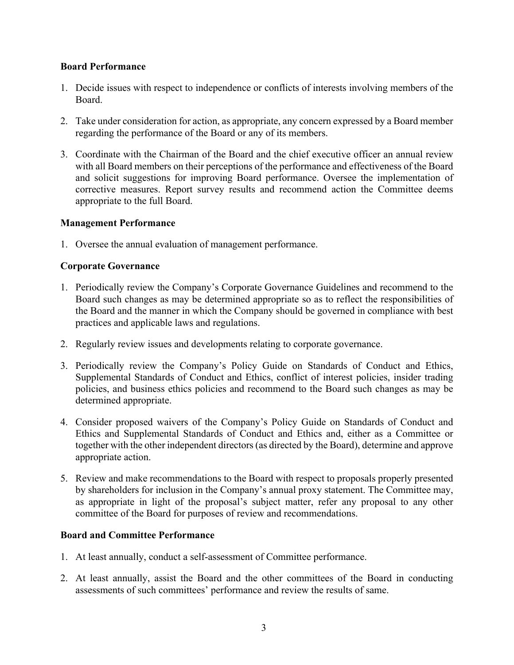### **Board Performance**

- 1. Decide issues with respect to independence or conflicts of interests involving members of the Board.
- 2. Take under consideration for action, as appropriate, any concern expressed by a Board member regarding the performance of the Board or any of its members.
- 3. Coordinate with the Chairman of the Board and the chief executive officer an annual review with all Board members on their perceptions of the performance and effectiveness of the Board and solicit suggestions for improving Board performance. Oversee the implementation of corrective measures. Report survey results and recommend action the Committee deems appropriate to the full Board.

### **Management Performance**

1. Oversee the annual evaluation of management performance.

# **Corporate Governance**

- 1. Periodically review the Company's Corporate Governance Guidelines and recommend to the Board such changes as may be determined appropriate so as to reflect the responsibilities of the Board and the manner in which the Company should be governed in compliance with best practices and applicable laws and regulations.
- 2. Regularly review issues and developments relating to corporate governance.
- 3. Periodically review the Company's Policy Guide on Standards of Conduct and Ethics, Supplemental Standards of Conduct and Ethics, conflict of interest policies, insider trading policies, and business ethics policies and recommend to the Board such changes as may be determined appropriate.
- 4. Consider proposed waivers of the Company's Policy Guide on Standards of Conduct and Ethics and Supplemental Standards of Conduct and Ethics and, either as a Committee or together with the other independent directors (as directed by the Board), determine and approve appropriate action.
- 5. Review and make recommendations to the Board with respect to proposals properly presented by shareholders for inclusion in the Company's annual proxy statement. The Committee may, as appropriate in light of the proposal's subject matter, refer any proposal to any other committee of the Board for purposes of review and recommendations.

# **Board and Committee Performance**

- 1. At least annually, conduct a self-assessment of Committee performance.
- 2. At least annually, assist the Board and the other committees of the Board in conducting assessments of such committees' performance and review the results of same.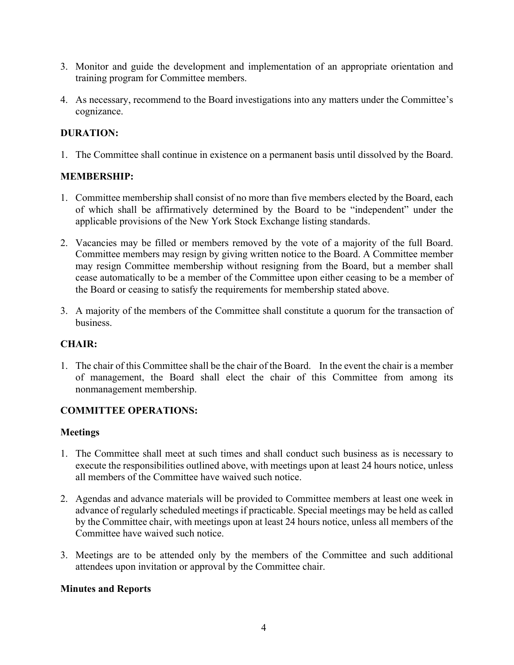- 3. Monitor and guide the development and implementation of an appropriate orientation and training program for Committee members.
- 4. As necessary, recommend to the Board investigations into any matters under the Committee's cognizance.

# **DURATION:**

1. The Committee shall continue in existence on a permanent basis until dissolved by the Board.

# **MEMBERSHIP:**

- 1. Committee membership shall consist of no more than five members elected by the Board, each of which shall be affirmatively determined by the Board to be "independent" under the applicable provisions of the New York Stock Exchange listing standards.
- 2. Vacancies may be filled or members removed by the vote of a majority of the full Board. Committee members may resign by giving written notice to the Board. A Committee member may resign Committee membership without resigning from the Board, but a member shall cease automatically to be a member of the Committee upon either ceasing to be a member of the Board or ceasing to satisfy the requirements for membership stated above.
- 3. A majority of the members of the Committee shall constitute a quorum for the transaction of business.

# **CHAIR:**

1. The chair of this Committee shall be the chair of the Board. In the event the chair is a member of management, the Board shall elect the chair of this Committee from among its nonmanagement membership.

# **COMMITTEE OPERATIONS:**

### **Meetings**

- 1. The Committee shall meet at such times and shall conduct such business as is necessary to execute the responsibilities outlined above, with meetings upon at least 24 hours notice, unless all members of the Committee have waived such notice.
- 2. Agendas and advance materials will be provided to Committee members at least one week in advance of regularly scheduled meetings if practicable. Special meetings may be held as called by the Committee chair, with meetings upon at least 24 hours notice, unless all members of the Committee have waived such notice.
- 3. Meetings are to be attended only by the members of the Committee and such additional attendees upon invitation or approval by the Committee chair.

# **Minutes and Reports**